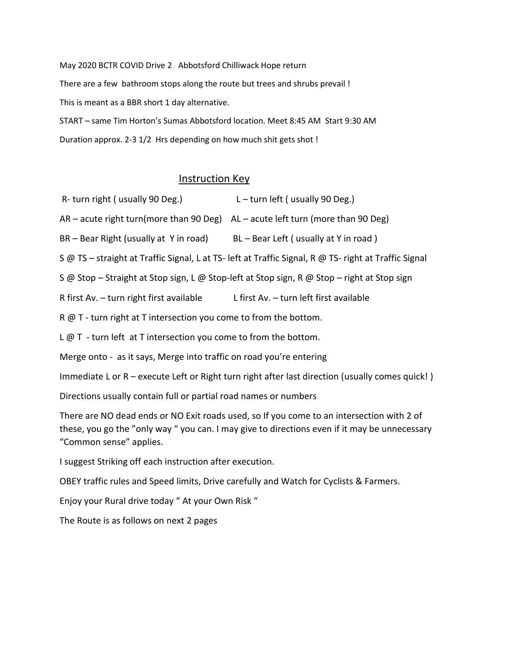May 2020 BCTR COVID Drive 2 Abbotsford Chilliwack Hope return There are a few bathroom stops along the route but trees and shrubs prevail ! This is meant as a BBR short 1 day alternative. START – same Tim Horton's Sumas Abbotsford location. Meet 8:45 AM Start 9:30 AM

Duration approx. 2-3 1/2 Hrs depending on how much shit gets shot !

## Instruction Key

- R- turn right ( usually 90 Deg.)  $L \text{turn left}$  ( usually 90 Deg.)
- AR acute right turn(more than 90 Deg) AL acute left turn (more than 90 Deg)
- BR Bear Right (usually at Y in road) BL Bear Left ( usually at Y in road )

S @ TS – straight at Traffic Signal, L at TS- left at Traffic Signal, R @ TS- right at Traffic Signal

S @ Stop – Straight at Stop sign, L @ Stop-left at Stop sign, R @ Stop – right at Stop sign

R first Av. – turn right first available L first Av. – turn left first available

R @ T - turn right at T intersection you come to from the bottom.

 $L \varnothing$  T - turn left at T intersection you come to from the bottom.

Merge onto - as it says, Merge into traffic on road you're entering

Immediate L or R – execute Left or Right turn right after last direction (usually comes quick! )

Directions usually contain full or partial road names or numbers

There are NO dead ends or NO Exit roads used, so If you come to an intersection with 2 of these, you go the "only way " you can. I may give to directions even if it may be unnecessary "Common sense" applies.

I suggest Striking off each instruction after execution.

OBEY traffic rules and Speed limits, Drive carefully and Watch for Cyclists & Farmers.

Enjoy your Rural drive today " At your Own Risk "

The Route is as follows on next 2 pages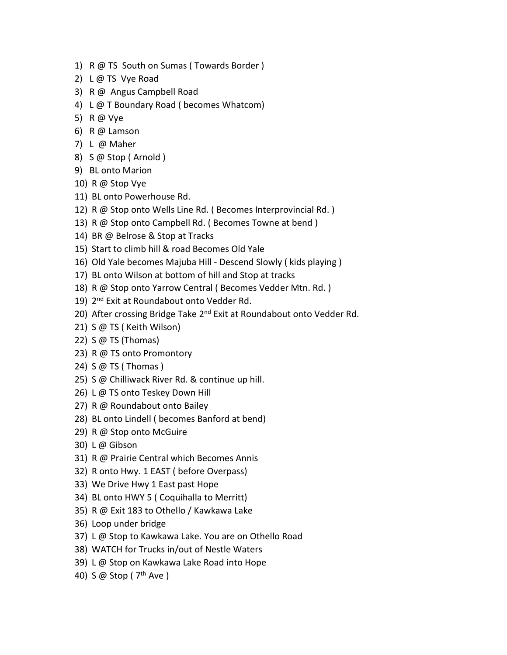- 1) R @ TS South on Sumas ( Towards Border )
- 2) L @ TS Vye Road
- 3) R @ Angus Campbell Road
- 4) L @ T Boundary Road ( becomes Whatcom)
- 5) R @ Vye
- 6) R @ Lamson
- 7) L @ Maher
- 8) S @ Stop ( Arnold )
- 9) BL onto Marion
- 10) R @ Stop Vye
- 11) BL onto Powerhouse Rd.
- 12) R @ Stop onto Wells Line Rd. ( Becomes Interprovincial Rd. )
- 13) R @ Stop onto Campbell Rd. ( Becomes Towne at bend )
- 14) BR @ Belrose & Stop at Tracks
- 15) Start to climb hill & road Becomes Old Yale
- 16) Old Yale becomes Majuba Hill Descend Slowly ( kids playing )
- 17) BL onto Wilson at bottom of hill and Stop at tracks
- 18) R @ Stop onto Yarrow Central ( Becomes Vedder Mtn. Rd. )
- 19) 2<sup>nd</sup> Exit at Roundabout onto Vedder Rd.
- 20) After crossing Bridge Take 2<sup>nd</sup> Exit at Roundabout onto Vedder Rd.
- 21) S @ TS ( Keith Wilson)
- 22) S @ TS (Thomas)
- 23) R @ TS onto Promontory
- 24) S @ TS ( Thomas )
- 25) S @ Chilliwack River Rd. & continue up hill.
- 26) L @ TS onto Teskey Down Hill
- 27) R @ Roundabout onto Bailey
- 28) BL onto Lindell ( becomes Banford at bend)
- 29) R @ Stop onto McGuire
- 30) L @ Gibson
- 31) R @ Prairie Central which Becomes Annis
- 32) R onto Hwy. 1 EAST ( before Overpass)
- 33) We Drive Hwy 1 East past Hope
- 34) BL onto HWY 5 ( Coquihalla to Merritt)
- 35) R @ Exit 183 to Othello / Kawkawa Lake
- 36) Loop under bridge
- 37) L @ Stop to Kawkawa Lake. You are on Othello Road
- 38) WATCH for Trucks in/out of Nestle Waters
- 39) L @ Stop on Kawkawa Lake Road into Hope
- 40) S @ Stop ( 7<sup>th</sup> Ave )